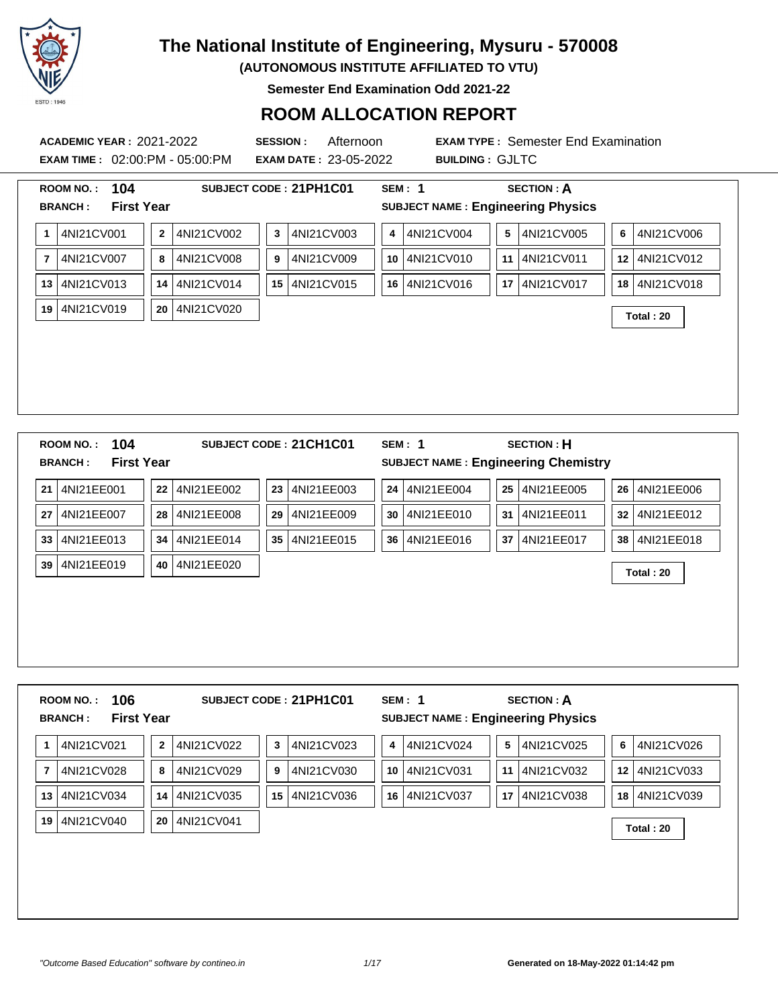

**(AUTONOMOUS INSTITUTE AFFILIATED TO VTU)**

**Semester End Examination Odd 2021-22**

#### **ROOM ALLOCATION REPORT**

**EXAM TIME :** 02:00:PM - 05:00:PM **EXAM DATE :** 23-05-2022 **BUILDING :** GJLTC

**ACADEMIC YEAR :** 2021-2022 **SESSION :** Afternoon **EXAM TYPE :** Semester End Examination

|                | 104<br><b>ROOM NO.:</b><br><b>First Year</b><br><b>BRANCH:</b> |              |            |    | SUBJECT CODE: 21PH1C01 |      | <b>SEM: 1</b><br><b>SUBJECT NAME: Engineering Physics</b> |    | <b>SECTION: A</b> |                  |                  |
|----------------|----------------------------------------------------------------|--------------|------------|----|------------------------|------|-----------------------------------------------------------|----|-------------------|------------------|------------------|
|                |                                                                |              |            |    |                        |      |                                                           |    |                   |                  |                  |
| 1              | 4NI21CV001                                                     | $\mathbf{2}$ | 4NI21CV002 | 3  | 4NI21CV003             | 4    | 4NI21CV004                                                | 5  | 4NI21CV005        | 6                | 4NI21CV006       |
| $\overline{7}$ | 4NI21CV007                                                     | 8            | 4NI21CV008 | 9  | 4NI21CV009             | 10   | 4NI21CV010                                                | 11 | 4NI21CV011        | 12 <sup>12</sup> | 4NI21CV012       |
| 13             | 4NI21CV013                                                     | 14           | 4NI21CV014 | 15 | 4NI21CV015             | 16 I | 4NI21CV016                                                | 17 | 4NI21CV017        | 18               | 4NI21CV018       |
| 19             | 4NI21CV019                                                     | 20           | 4NI21CV020 |    |                        |      |                                                           |    |                   |                  | <b>Total: 20</b> |
|                |                                                                |              |            |    |                        |      |                                                           |    |                   |                  |                  |
|                |                                                                |              |            |    |                        |      |                                                           |    |                   |                  |                  |
|                |                                                                |              |            |    |                        |      |                                                           |    |                   |                  |                  |
|                |                                                                |              |            |    |                        |      |                                                           |    |                   |                  |                  |
|                | ROOM NO.:                                                      |              |            |    |                        |      | <b>SEM: 1</b>                                             |    |                   |                  |                  |
|                | 104<br><b>First Year</b><br><b>BRANCH:</b>                     |              |            |    | SUBJECT CODE: 21CH1C01 |      | <b>SUBJECT NAME: Engineering Chemistry</b>                |    | <b>SECTION: H</b> |                  |                  |
|                | 4NI21EE001                                                     | 22           | 4NI21EE002 | 23 | 4NI21EE003             | 24   | 4NI21EE004                                                | 25 | 4NI21EE005        | 26               | 4NI21EE006       |
|                | 4NI21EE007                                                     | 28           | 4NI21EE008 | 29 | 4NI21EE009             | 30   | 4NI21EE010                                                | 31 | 4NI21EE011        | 32               | 4NI21EE012       |
| 21<br>27<br>33 | 4NI21EE013                                                     | 34           | 4NI21EE014 | 35 | 4NI21EE015             | 36   | 4NI21EE016                                                | 37 | 4NI21EE017        | 38               | 4NI21EE018       |

**ROOM NO. : 106 SUBJECT CODE : 21PH1C01 SEM : 1 SECTION : A BRANCH : First Year SUBJECT NAME : Engineering Physics** 4NI21CV021 **2** 4NI21CV022 **3** 4NI21CV023 **4** 4NI21CV024 **5** 4NI21CV025 **6** 4NI21CV026 4NI21CV028 **8** 4NI21CV029 **9** 4NI21CV030 **10** 4NI21CV031 **11** 4NI21CV032 **12** 4NI21CV033 4NI21CV034 **14** 4NI21CV035 **15** 4NI21CV036 **16** 4NI21CV037 **17** 4NI21CV038 **18** 4NI21CV039 4NI21CV040 **<sup>20</sup>** 4NI21CV041 **Total : 20**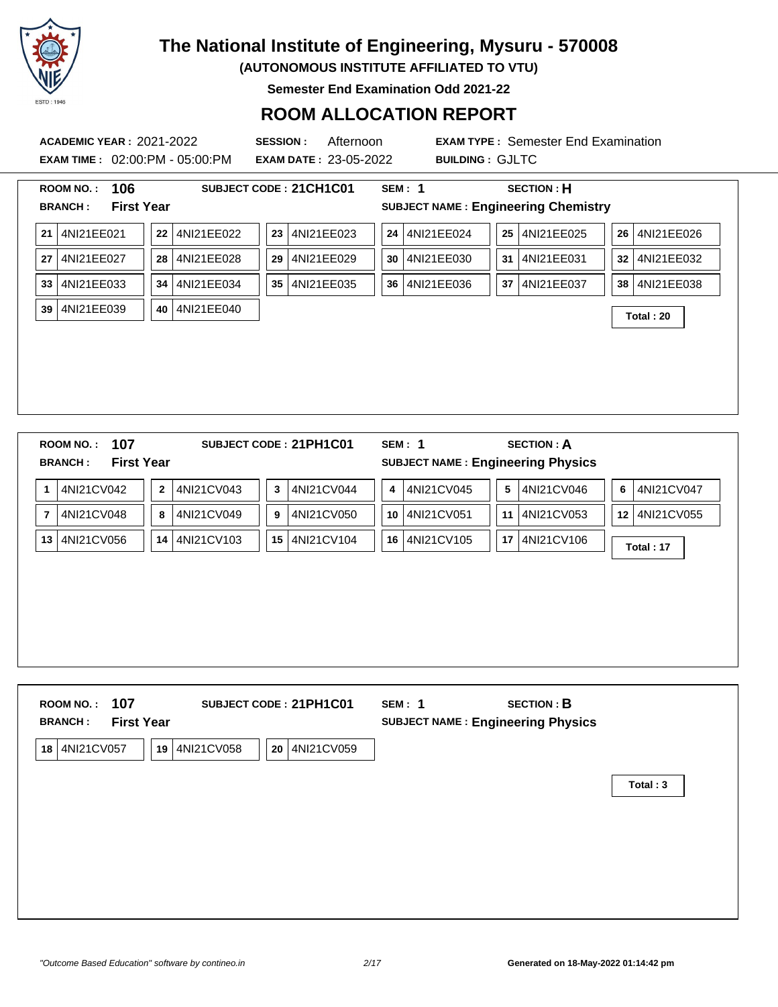

**(AUTONOMOUS INSTITUTE AFFILIATED TO VTU)**

**Semester End Examination Odd 2021-22**

#### **ROOM ALLOCATION REPORT**

**EXAM TIME :** 02:00:PM - 05:00:PM **EXAM DATE :** 23-05-2022 **BUILDING :** GJLTC

| 106<br><b>ROOM NO.:</b><br><b>First Year</b><br><b>BRANCH:</b> |                              | SUBJECT CODE: 21CH1C01        | SEM: 1           | <b>SECTION: H</b><br><b>SUBJECT NAME: Engineering Chemistry</b> |                  |
|----------------------------------------------------------------|------------------------------|-------------------------------|------------------|-----------------------------------------------------------------|------------------|
| 4NI21EE021<br>21                                               | 4NI21EE022<br>22             | 4NI21EE023<br>23              | 4NI21EE024<br>24 | 4NI21EE025<br>25                                                | 4NI21EE026<br>26 |
| 4NI21EE027<br>27                                               | 4NI21EE028<br>28             | 4NI21EE029<br>29              | 4NI21EE030<br>30 | 4NI21EE031<br>31                                                | 4NI21EE032<br>32 |
| 4NI21EE033<br>33                                               | 4NI21EE034<br>34             | 4NI21EE035<br>35 <sup>1</sup> | 4NI21EE036<br>36 | 4NI21EE037<br>37                                                | 4NI21EE038<br>38 |
| 39<br>4NI21EE039                                               | 4NI21EE040<br>40             |                               |                  |                                                                 | Total: 20        |
|                                                                |                              |                               |                  |                                                                 |                  |
| 107<br><b>ROOM NO.:</b>                                        |                              | SUBJECT CODE: 21PH1C01        | <b>SEM: 1</b>    | <b>SECTION: A</b>                                               |                  |
| <b>First Year</b><br><b>BRANCH:</b>                            |                              |                               |                  | <b>SUBJECT NAME: Engineering Physics</b>                        |                  |
| 4NI21CV042<br>1                                                | 4NI21CV043<br>$\overline{2}$ | 4NI21CV044<br>3               | 4NI21CV045<br>4  | 4NI21CV046<br>5                                                 | 4NI21CV047<br>6  |

| $\overline{7}$ | 4NI21CV048 | 8 | 4NI21CV049    | 9 | 4NI21CV050    | 10 | 4NI21CV051 | 11 | 4NI21CV053 | 12 | 4NI21CV055 |
|----------------|------------|---|---------------|---|---------------|----|------------|----|------------|----|------------|
| 13             | 4NI21CV056 |   | 14 4NI21CV103 |   | 15 4NI21CV104 | 16 | 4NI21CV105 | 17 | 4NI21CV106 |    | Total: 17  |
|                |            |   |               |   |               |    |            |    |            |    |            |
|                |            |   |               |   |               |    |            |    |            |    |            |
|                |            |   |               |   |               |    |            |    |            |    |            |
|                |            |   |               |   |               |    |            |    |            |    |            |
|                |            |   |               |   |               |    |            |    |            |    |            |
|                |            |   |               |   |               |    |            |    |            |    |            |

| 107<br><b>ROOM NO.:</b><br><b>First Year</b><br><b>BRANCH:</b> | SUBJECT CODE: 21PH1C01         | <b>SECTION: B</b><br>SEM: 1<br><b>SUBJECT NAME: Engineering Physics</b> |          |
|----------------------------------------------------------------|--------------------------------|-------------------------------------------------------------------------|----------|
| 4NI21CV057<br>18<br>19                                         | 4NI21CV058<br>4NI21CV059<br>20 |                                                                         |          |
|                                                                |                                |                                                                         | Total: 3 |
|                                                                |                                |                                                                         |          |
|                                                                |                                |                                                                         |          |
|                                                                |                                |                                                                         |          |
|                                                                |                                |                                                                         |          |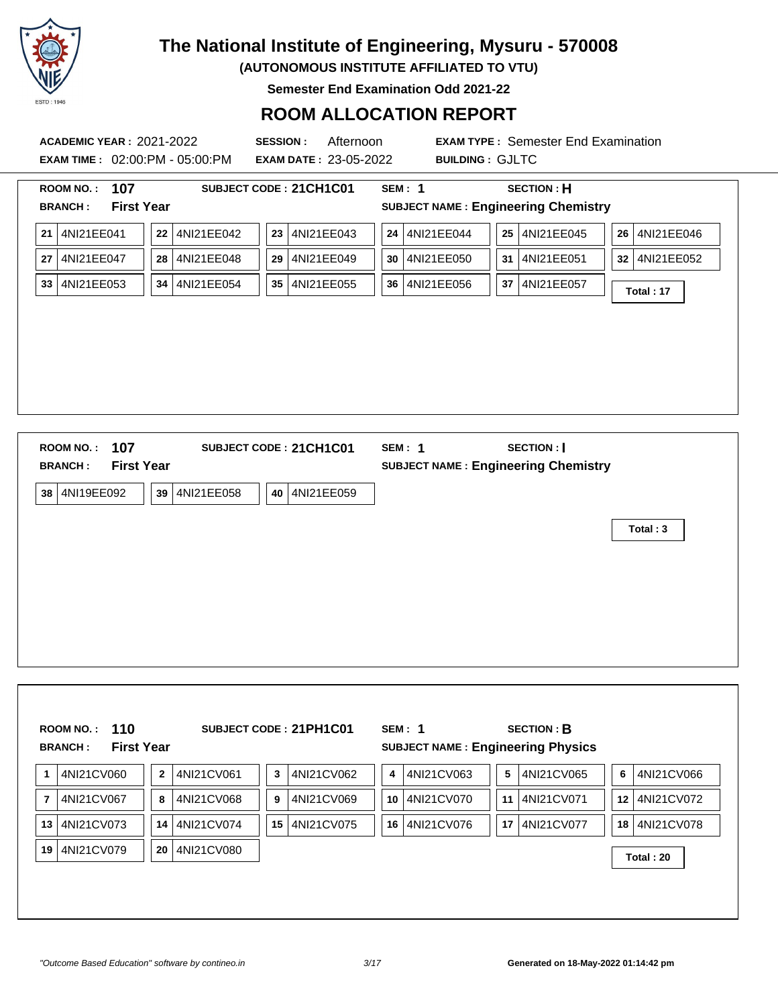

**(AUTONOMOUS INSTITUTE AFFILIATED TO VTU)**

**Semester End Examination Odd 2021-22**

#### **ROOM ALLOCATION REPORT**

**ACADEMIC YEAR :** 2021-2022 **SESSION :** Afternoon **EXAM TYPE :** Semester End Examination **EXAM TIME :** 02:00:PM - 05:00:PM **EXAM DATE :** 23-05-2022 **BUILDING :** GJLTC **ROOM NO. : 107 SUBJECT CODE : 21CH1C01 SEM : 1 SECTION : H BRANCH : First Year SUBJECT NAME : Engineering Chemistry 21** 4NI21EE041 **22** 4NI21EE042 **23** 4NI21EE043 **24** 4NI21EE044 **25** 4NI21EE045 **26** 4NI21EE046 **27** 4NI21EE047 **28** 4NI21EE048 **29** 4NI21EE049 **30** 4NI21EE050 **31** 4NI21EE051 **32** 4NI21EE052 **<sup>33</sup>** 4NI21EE053 **<sup>34</sup>** 4NI21EE054 **<sup>35</sup>** 4NI21EE055 **<sup>36</sup>** 4NI21EE056 **<sup>37</sup>** 4NI21EE057 **Total : 17 ROOM NO. : 107 SUBJECT CODE : 21CH1C01 SEM : 1 SECTION : I BRANCH : First Year SUBJECT NAME : Engineering Chemistry 38** 4NI19EE092 **39** 4NI21EE058 **40** 4NI21EE059 **Total : 3**

|    | 110<br><b>ROOM NO.:</b><br><b>First Year</b><br><b>BRANCH:</b> |                |            |                 | SUBJECT CODE: 21PH1C01 |                 | SEM: 1<br><b>SUBJECT NAME: Engineering Physics</b> |                 | <b>SECTION: B</b> |                  |            |
|----|----------------------------------------------------------------|----------------|------------|-----------------|------------------------|-----------------|----------------------------------------------------|-----------------|-------------------|------------------|------------|
|    | 4NI21CV060                                                     | $\overline{2}$ | 4NI21CV061 | 3               | 4NI21CV062             | 4               | 4NI21CV063                                         | 5               | 4NI21CV065        | 6                | 4NI21CV066 |
|    | 4NI21CV067                                                     | 8              | 4NI21CV068 | 9               | 4NI21CV069             | 10 <sup>1</sup> | 4NI21CV070                                         | 11              | 4NI21CV071        | 12 <sup>12</sup> | 4NI21CV072 |
| 13 | 4NI21CV073                                                     | 14             | 4NI21CV074 | 15 <sup>1</sup> | 4NI21CV075             | 16 I            | 4NI21CV076                                         | 17 <sup>1</sup> | 4NI21CV077        | 18               | 4NI21CV078 |
| 19 | 4NI21CV079                                                     | 20             | 4NI21CV080 |                 |                        |                 |                                                    |                 |                   |                  | Total: 20  |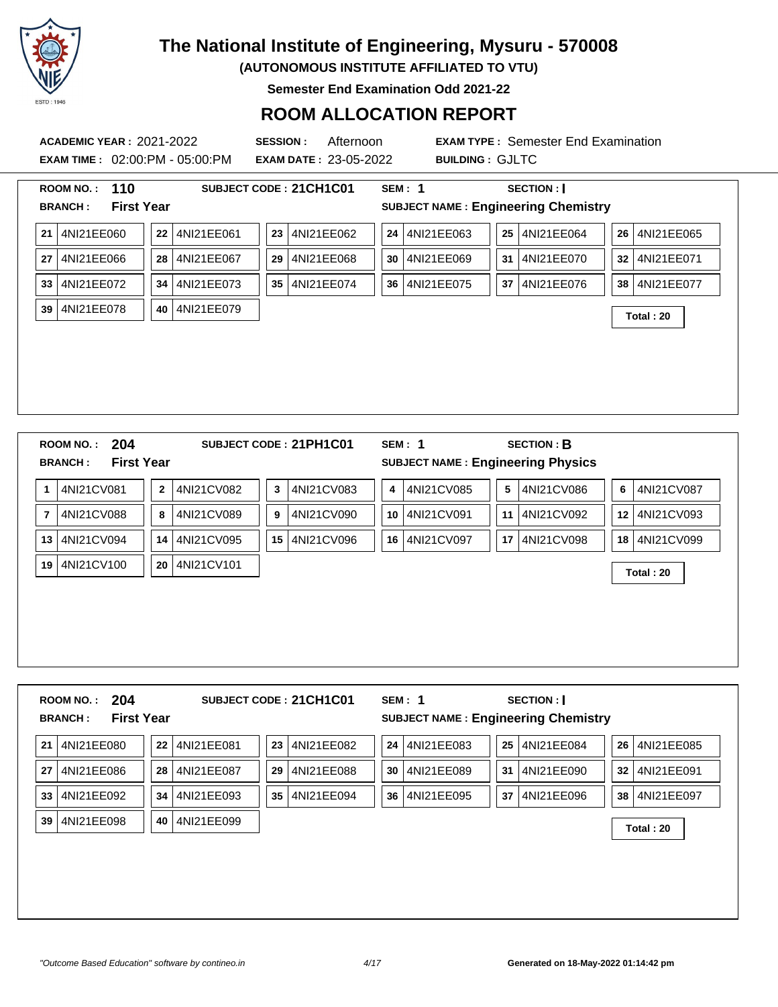

**(AUTONOMOUS INSTITUTE AFFILIATED TO VTU)**

**Semester End Examination Odd 2021-22**

#### **ROOM ALLOCATION REPORT**

**EXAM TIME :** 02:00:PM - 05:00:PM **EXAM DATE :** 23-05-2022 **BUILDING :** GJLTC

**ACADEMIC YEAR :** 2021-2022 **SESSION :** Afternoon **EXAM TYPE :** Semester End Examination

|                | 110<br>ROOM NO.:                    |              |            |                 | SUBJECT CODE: 21CH1C01 |    | SEM: 1                                     |    | <b>SECTION:</b>   |    |            |
|----------------|-------------------------------------|--------------|------------|-----------------|------------------------|----|--------------------------------------------|----|-------------------|----|------------|
|                | <b>First Year</b><br><b>BRANCH:</b> |              |            |                 |                        |    | <b>SUBJECT NAME: Engineering Chemistry</b> |    |                   |    |            |
| 21             | 4NI21EE060                          | 22           | 4NI21EE061 | 23              | 4NI21EE062             | 24 | 4NI21EE063                                 |    | 25 4NI21EE064     | 26 | 4NI21EE065 |
| 27             | 4NI21EE066                          | 28           | 4NI21EE067 | 29              | 4NI21EE068             | 30 | 4NI21EE069                                 | 31 | 4NI21EE070        | 32 | 4NI21EE071 |
| 33             | 4NI21EE072                          | 34           | 4NI21EE073 | 35 <sub>1</sub> | 4NI21EE074             | 36 | 4NI21EE075                                 | 37 | 4NI21EE076        | 38 | 4NI21EE077 |
| 39             | 4NI21EE078                          | 40           | 4NI21EE079 |                 |                        |    |                                            |    |                   |    | Total: 20  |
|                |                                     |              |            |                 |                        |    |                                            |    |                   |    |            |
|                |                                     |              |            |                 |                        |    |                                            |    |                   |    |            |
|                |                                     |              |            |                 |                        |    |                                            |    |                   |    |            |
|                |                                     |              |            |                 |                        |    |                                            |    |                   |    |            |
|                |                                     |              |            |                 |                        |    |                                            |    |                   |    |            |
|                |                                     |              |            |                 |                        |    |                                            |    |                   |    |            |
|                |                                     |              |            |                 |                        |    |                                            |    |                   |    |            |
|                | 204<br>ROOM NO.:                    |              |            |                 | SUBJECT CODE: 21PH1C01 |    | SEM: 1                                     |    | <b>SECTION: B</b> |    |            |
|                | <b>First Year</b><br><b>BRANCH:</b> |              |            |                 |                        |    | <b>SUBJECT NAME: Engineering Physics</b>   |    |                   |    |            |
| 1              | 4NI21CV081                          | $\mathbf{2}$ | 4NI21CV082 | 3               | 4NI21CV083             | 4  | 4NI21CV085                                 | 5  | 4NI21CV086        | 6  | 4NI21CV087 |
| $\overline{7}$ | 4NI21CV088                          | 8            | 4NI21CV089 | 9               | 4NI21CV090             | 10 | 4NI21CV091                                 | 11 | 4NI21CV092        | 12 | 4NI21CV093 |

**<sup>19</sup>** 4NI21CV100 **<sup>20</sup>** 4NI21CV101 **Total : 20**

| 204<br><b>ROOM NO.:</b><br><b>First Year</b><br><b>BRANCH:</b> |                  | SUBJECT CODE: 21CH1C01 | SEM: 1     | <b>SECTION:</b><br><b>SUBJECT NAME: Engineering Chemistry</b> |            |
|----------------------------------------------------------------|------------------|------------------------|------------|---------------------------------------------------------------|------------|
| 4NI21EE080                                                     | 4NI21EE081       | 4NI21EE082             | 24         | 25                                                            | 4NI21EE085 |
| 21                                                             | 22               | 23                     | 4NI21EE083 | 4NI21EE084                                                    | 26         |
| 4NI21EE086                                                     | 4NI21EE087       | 4NI21EE088             | 30         | 4NI21EE090                                                    | 4NI21EE091 |
| 27                                                             | 28               | 29                     | 4NI21EE089 | 31                                                            | 32         |
| 4NI21EE092                                                     | 4NI21EE093       | 35                     | 36         | 37                                                            | 4NI21EE097 |
| 33                                                             | 34               | 4NI21EE094             | 4NI21EE095 | 4NI21EE096                                                    | 38         |
| 4NI21EE098<br>39                                               | 4NI21EE099<br>40 |                        |            |                                                               | Total: 20  |
|                                                                |                  |                        |            |                                                               |            |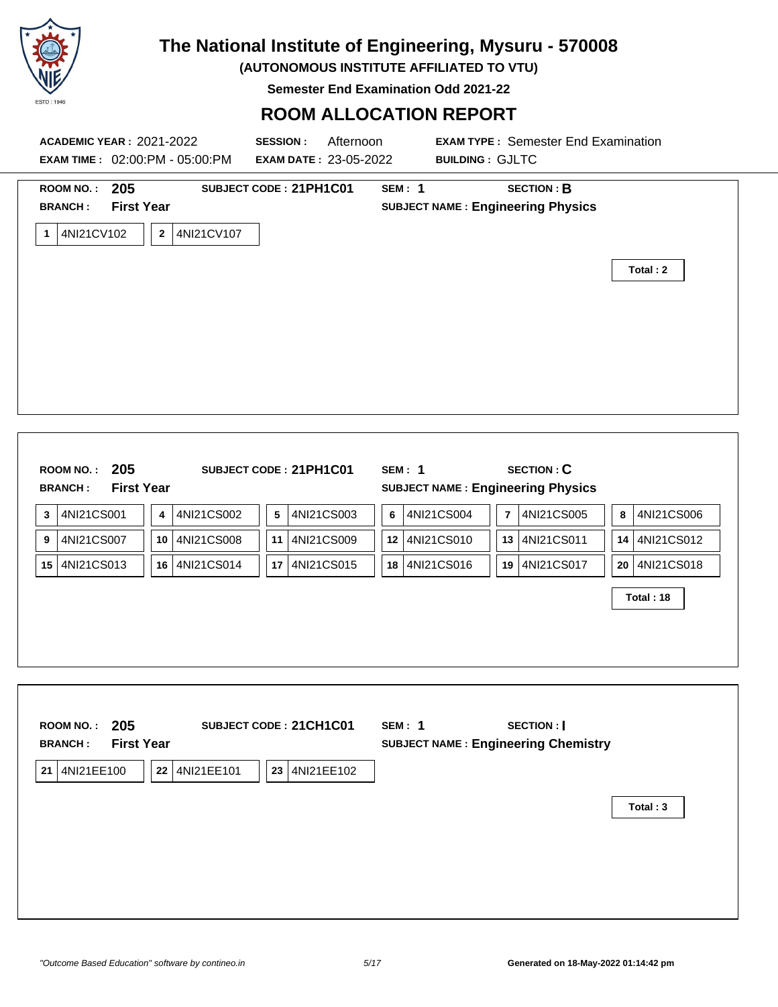

**(AUTONOMOUS INSTITUTE AFFILIATED TO VTU)**

**Semester End Examination Odd 2021-22**

#### **ROOM ALLOCATION REPORT**

| ROOM NO.: 205                                        |                            | SUBJECT CODE: 21PH1C01  | <b>SEM: 1</b>                              | <b>SECTION: B</b>            |                  |
|------------------------------------------------------|----------------------------|-------------------------|--------------------------------------------|------------------------------|------------------|
| <b>First Year</b><br><b>BRANCH:</b>                  |                            |                         | <b>SUBJECT NAME: Engineering Physics</b>   |                              |                  |
|                                                      |                            |                         |                                            |                              |                  |
| 4NI21CV102<br>1                                      | $\mathbf{2}$<br>4NI21CV107 |                         |                                            |                              |                  |
|                                                      |                            |                         |                                            |                              | Total: 2         |
|                                                      |                            |                         |                                            |                              |                  |
|                                                      |                            |                         |                                            |                              |                  |
|                                                      |                            |                         |                                            |                              |                  |
|                                                      |                            |                         |                                            |                              |                  |
|                                                      |                            |                         |                                            |                              |                  |
|                                                      |                            |                         |                                            |                              |                  |
|                                                      |                            |                         |                                            |                              |                  |
|                                                      |                            |                         |                                            |                              |                  |
|                                                      |                            |                         |                                            |                              |                  |
| ROOM NO.: 205                                        |                            | SUBJECT CODE: 21PH1C01  | <b>SEM: 1</b>                              | <b>SECTION: C</b>            |                  |
| <b>First Year</b><br><b>BRANCH:</b>                  |                            |                         | <b>SUBJECT NAME: Engineering Physics</b>   |                              |                  |
| 4NI21CS001                                           | $\pmb{4}$<br>4NI21CS002    | ${\bf 5}$<br>4NI21CS003 | 4NI21CS004<br>6                            | $\overline{7}$<br>4NI21CS005 | 4NI21CS006<br>8  |
| 4NI21CS007                                           | 10<br>4NI21CS008           | 4NI21CS009<br>11        | 12 4NI21CS010                              | 4NI21CS011<br>13             | 4NI21CS012<br>14 |
| 4NI21CS013<br>15                                     | 16 4NI21CS014              | 17 4NI21CS015           | 18 4NI21CS016                              | 4NI21CS017<br>19             | 20 4NI21CS018    |
|                                                      |                            |                         |                                            |                              |                  |
|                                                      |                            |                         |                                            |                              | Total: 18        |
|                                                      |                            |                         |                                            |                              |                  |
|                                                      |                            |                         |                                            |                              |                  |
|                                                      |                            |                         |                                            |                              |                  |
|                                                      |                            |                         |                                            |                              |                  |
|                                                      |                            |                         |                                            |                              |                  |
|                                                      |                            | SUBJECT CODE: 21CH1C01  | <b>SEM: 1</b>                              | <b>SECTION:</b>              |                  |
|                                                      |                            |                         | <b>SUBJECT NAME: Engineering Chemistry</b> |                              |                  |
| ROOM NO.: 205<br><b>First Year</b><br><b>BRANCH:</b> |                            |                         |                                            |                              |                  |
|                                                      |                            |                         |                                            |                              |                  |
| 21 4NI21EE100                                        | 22 4NI21EE101              | 23 4NI21EE102           |                                            |                              |                  |
|                                                      |                            |                         |                                            |                              | Total: 3         |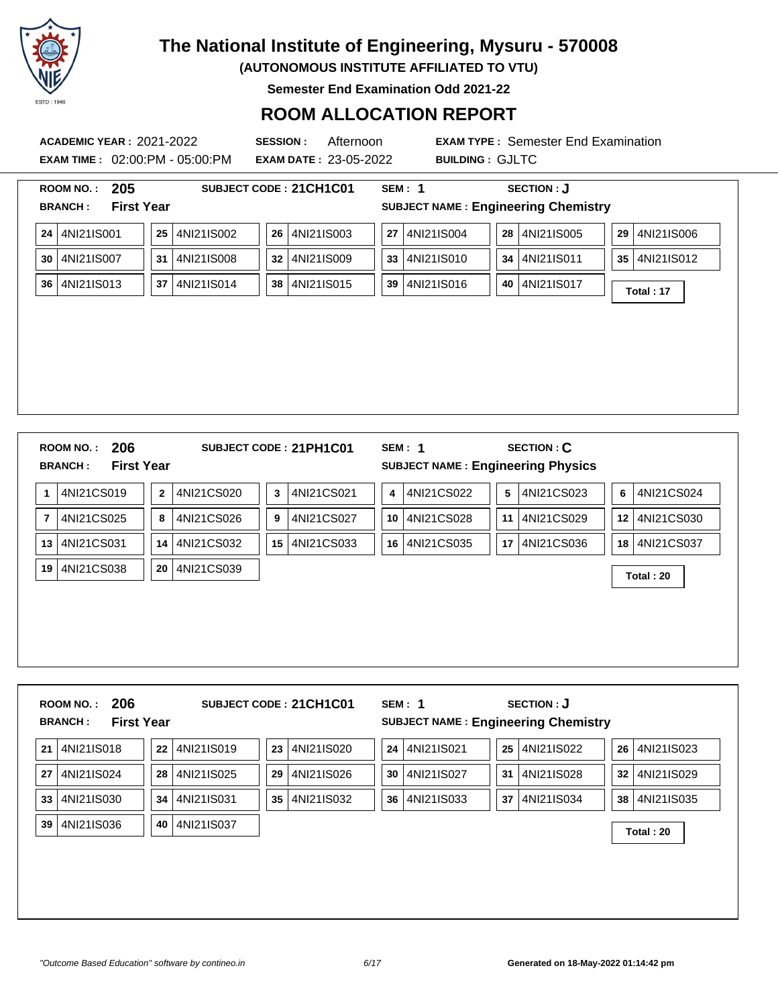

**(AUTONOMOUS INSTITUTE AFFILIATED TO VTU)**

**Semester End Examination Odd 2021-22**

### **ROOM ALLOCATION REPORT**

**EXAM TIME :** 02:00:PM - 05:00:PM **EXAM DATE :** 23-05-2022 **BUILDING :** GJLTC

| <b>First Year</b> |              |            |    |                        |                 |                                            |          |    |                   |    |               |
|-------------------|--------------|------------|----|------------------------|-----------------|--------------------------------------------|----------|----|-------------------|----|---------------|
|                   |              |            |    |                        |                 | <b>SUBJECT NAME: Engineering Chemistry</b> |          |    |                   |    |               |
| 4NI21IS001        | 25           | 4NI21IS002 | 26 | 4NI21IS003             | 27              | 4NI21IS004                                 |          | 28 | 4NI21IS005        | 29 | 4NI21IS006    |
| 4NI21IS007        | 31           | 4NI21IS008 | 32 | 4NI21IS009             |                 | 4NI21IS010                                 |          | 34 | 4NI21IS011        |    | 35 4NI21IS012 |
|                   | 37           | 4NI21IS014 |    | 4NI21IS015             |                 | 4NI21IS016                                 |          | 40 | 4NI21IS017        |    | Total: 17     |
|                   |              |            |    |                        |                 |                                            |          |    |                   |    |               |
|                   |              |            |    |                        |                 |                                            |          |    |                   |    |               |
|                   |              |            |    |                        |                 |                                            |          |    |                   |    |               |
|                   |              |            |    |                        |                 |                                            |          |    |                   |    |               |
|                   |              |            |    |                        |                 |                                            |          |    |                   |    |               |
|                   |              |            |    |                        |                 |                                            |          |    |                   |    |               |
|                   |              |            |    |                        |                 |                                            |          |    |                   |    |               |
|                   |              |            |    |                        |                 |                                            |          |    |                   |    |               |
|                   |              |            |    |                        |                 |                                            |          |    |                   |    |               |
|                   |              |            |    |                        |                 |                                            |          |    |                   |    |               |
|                   |              |            |    |                        |                 |                                            |          |    |                   |    |               |
| <b>ROOM NO.:</b>  |              |            |    |                        |                 | <b>SEM: 1</b>                              |          |    |                   |    |               |
| 206               |              |            |    | SUBJECT CODE: 21PH1C01 |                 |                                            |          |    | <b>SECTION: C</b> |    |               |
| <b>First Year</b> |              |            |    |                        |                 | <b>SUBJECT NAME: Engineering Physics</b>   |          |    |                   |    |               |
| 4NI21CS019        | $\mathbf{2}$ | 4NI21CS020 | 3  | 4NI21CS021             | 4               | 4NI21CS022                                 |          | 5  | 4NI21CS023        | 6  | 4NI21CS024    |
| 4NI21CS025        | 8            | 4NI21CS026 | 9  | 4NI21CS027             | 10 <sup>1</sup> | 4NI21CS028                                 |          | 11 | 4NI21CS029        | 12 | 4NI21CS030    |
| 4NI21CS031        | 14           | 4NI21CS032 | 15 | 4NI21CS033             | 16              | 4NI21CS035                                 |          | 17 | 4NI21CS036        | 18 | 4NI21CS037    |
|                   |              |            |    |                        |                 |                                            |          |    |                   |    |               |
| 4NI21CS038        | 20           | 4NI21CS039 |    |                        |                 |                                            |          |    |                   |    | Total: 20     |
|                   | 4NI21IS013   |            |    |                        | 38              |                                            | 33<br>39 |    |                   |    |               |

|    | 206<br><b>ROOM NO.:</b><br><b>First Year</b><br><b>BRANCH:</b> |    |            |    | SUBJECT CODE: 21CH1C01 |    | SEM: 1     |    | <b>SECTION: J</b><br><b>SUBJECT NAME: Engineering Chemistry</b> |    |            |
|----|----------------------------------------------------------------|----|------------|----|------------------------|----|------------|----|-----------------------------------------------------------------|----|------------|
| 21 | 4NI21IS018                                                     | 22 | 4NI21IS019 | 23 | 4NI21IS020             | 24 | 4NI21IS021 | 25 | 4NI21IS022                                                      | 26 | 4NI21IS023 |
| 27 | 4NI21IS024                                                     | 28 | 4NI21IS025 | 29 | 4NI21IS026             | 30 | 4NI21IS027 | 31 | 4NI21IS028                                                      | 32 | 4NI21IS029 |
| 33 | 4NI21IS030                                                     | 34 | 4NI21IS031 | 35 | 4NI21IS032             | 36 | 4NI21IS033 | 37 | 4NI21IS034                                                      | 38 | 4NI21IS035 |
| 39 | 4NI21IS036                                                     | 40 | 4NI21IS037 |    |                        |    |            |    |                                                                 |    | Total: 20  |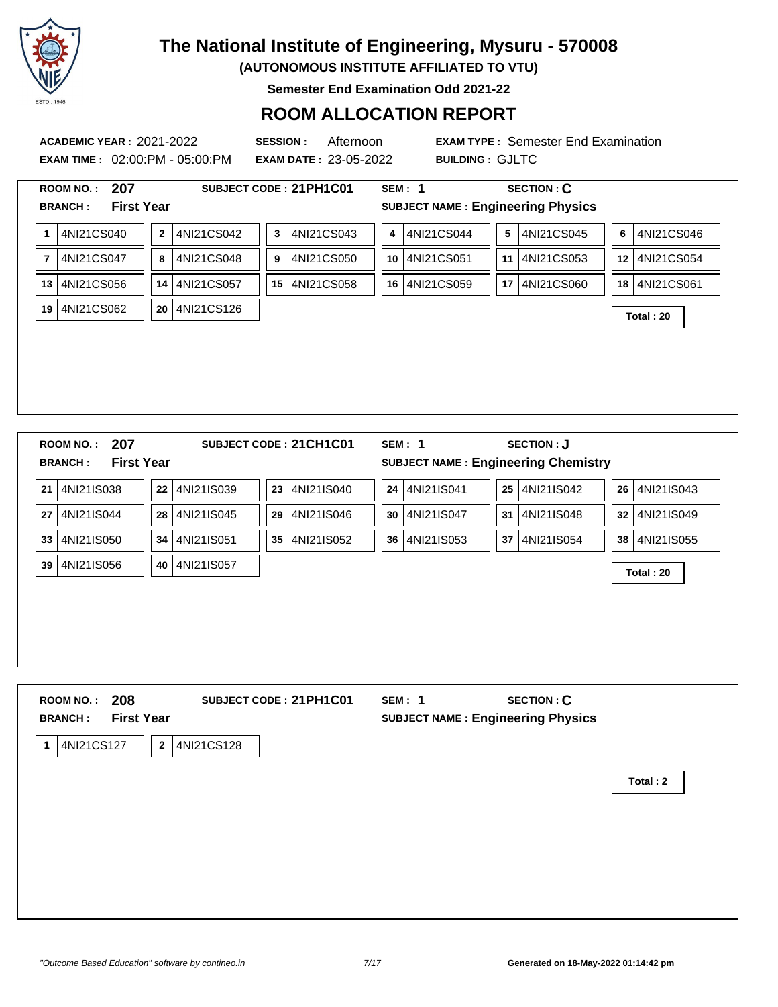

**(AUTONOMOUS INSTITUTE AFFILIATED TO VTU)**

**Semester End Examination Odd 2021-22**

#### **ROOM ALLOCATION REPORT**

**EXAM TIME :** 02:00:PM - 05:00:PM **EXAM DATE :** 23-05-2022 **BUILDING :** GJLTC

|                | <b>First Year</b><br><b>BRANCH:</b><br>4NI21CS040              | $\overline{2}$ | 4NI21CS042 | $\mathbf{3}$ | 4NI21CS043             | 4               | <b>SUBJECT NAME: Engineering Physics</b><br>4NI21CS044      | 5  | 4NI21CS045 | 6               | 4NI21CS046    |
|----------------|----------------------------------------------------------------|----------------|------------|--------------|------------------------|-----------------|-------------------------------------------------------------|----|------------|-----------------|---------------|
| 1              |                                                                |                |            |              |                        |                 |                                                             |    |            |                 |               |
| $\overline{7}$ | 4NI21CS047                                                     | 8              | 4NI21CS048 | 9            | 4NI21CS050             | 10 <sup>1</sup> | 4NI21CS051                                                  | 11 | 4NI21CS053 | 12 <sup>1</sup> | 4NI21CS054    |
| 13             | 4NI21CS056                                                     | 14             | 4NI21CS057 | 15           | 4NI21CS058             |                 | 16 4NI21CS059                                               | 17 | 4NI21CS060 |                 | 18 4NI21CS061 |
| 19             | 4NI21CS062                                                     | 20             | 4NI21CS126 |              |                        |                 |                                                             |    |            |                 | Total: 20     |
|                |                                                                |                |            |              |                        |                 |                                                             |    |            |                 |               |
|                |                                                                |                |            |              |                        |                 |                                                             |    |            |                 |               |
|                |                                                                |                |            |              |                        |                 |                                                             |    |            |                 |               |
|                | 207<br><b>ROOM NO.:</b><br><b>First Year</b><br><b>BRANCH:</b> |                |            |              | SUBJECT CODE: 21CH1C01 |                 | <b>SEM: 1</b><br><b>SUBJECT NAME: Engineering Chemistry</b> |    | SECTION: J |                 |               |
|                | 4NI21IS038                                                     | 22             | 4NI21IS039 | 23           | 4NI21IS040             |                 | 24 4NI21IS041                                               | 25 | 4NI21IS042 | 26              | 4NI21IS043    |
|                | 4NI21IS044                                                     | 28             | 4NI21IS045 | 29           | 4NI21IS046             | 30              | 4NI21IS047                                                  | 31 | 4NI21IS048 | 32              | 4NI21IS049    |
| 21<br>27<br>33 | 4NI21IS050                                                     | 34             | 4NI21IS051 | 35           | 4NI21IS052             |                 | 36 4NI21IS053                                               | 37 | 4NI21IS054 | 38              | 4NI21IS055    |

| 208<br><b>ROOM NO.:</b><br><b>First Year</b><br><b>BRANCH:</b> | SUBJECT CODE: 21PH1C01 | <b>SEM: 1</b><br><b>SUBJECT NAME: Engineering Physics</b> | <b>SECTION: C</b> |          |
|----------------------------------------------------------------|------------------------|-----------------------------------------------------------|-------------------|----------|
| 4NI21CS127<br>$\mathbf{2}$<br>1                                | 4NI21CS128             |                                                           |                   |          |
|                                                                |                        |                                                           |                   | Total: 2 |
|                                                                |                        |                                                           |                   |          |
|                                                                |                        |                                                           |                   |          |
|                                                                |                        |                                                           |                   |          |
|                                                                |                        |                                                           |                   |          |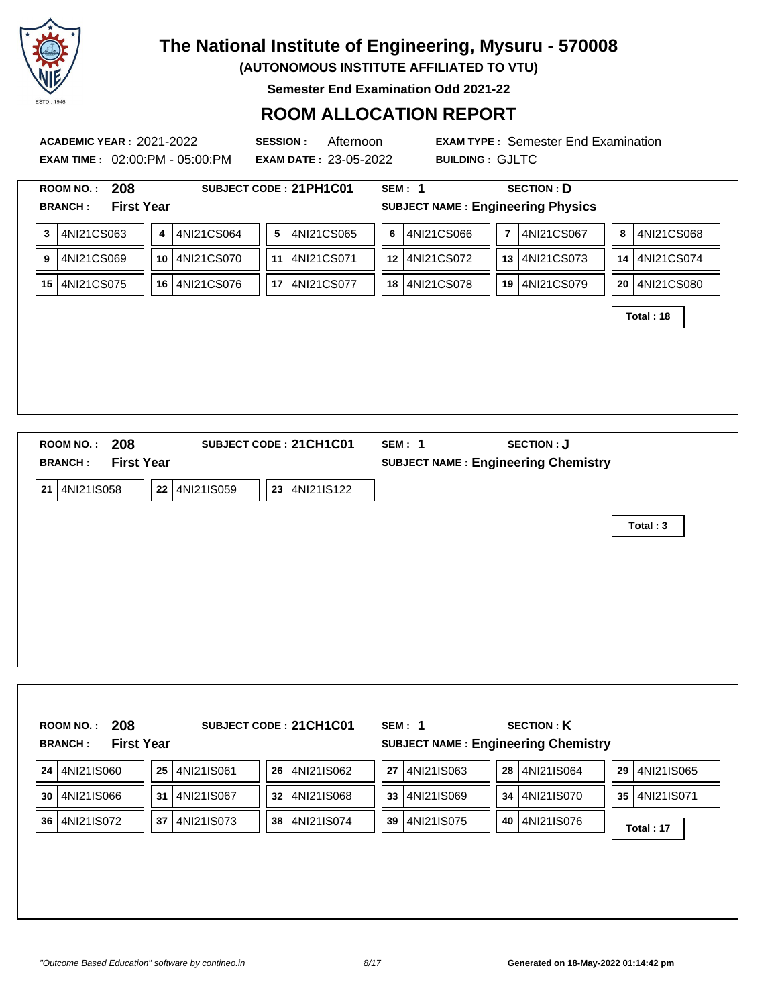

**(AUTONOMOUS INSTITUTE AFFILIATED TO VTU)**

**Semester End Examination Odd 2021-22**

#### **ROOM ALLOCATION REPORT**

**ACADEMIC YEAR :** 2021-2022 **SESSION :** Afternoon **EXAM TYPE :** Semester End Examination **EXAM TIME :** 02:00:PM - 05:00:PM **EXAM DATE :** 23-05-2022 **BUILDING :** GJLTC **ROOM NO. : 208 SUBJECT CODE : 21PH1C01 SEM : 1 SECTION : D BRANCH : First Year SUBJECT NAME : Engineering Physics 3** 4NI21CS063 **4** 4NI21CS064 **5** 4NI21CS065 **6** 4NI21CS066 **7** 4NI21CS067 **8** 4NI21CS068 **9** 4NI21CS069 **10** 4NI21CS070 **11** 4NI21CS071 **12** 4NI21CS072 **13** 4NI21CS073 **14** 4NI21CS074 **15** 4NI21CS075 **16** 4NI21CS076 **17** 4NI21CS077 **18** 4NI21CS078 **19** 4NI21CS079 **20** 4NI21CS080 **Total : 18 ROOM NO. : 208 SUBJECT CODE : 21CH1C01 SEM : 1 SECTION : J BRANCH : First Year SUBJECT NAME : Engineering Chemistry 21** 4NI21IS058 **22** 4NI21IS059 **23** 4NI21IS122

**Total : 3**

|    | 208<br><b>ROOM NO.:</b> |                   |            | SUBJECT CODE: 21CH1C01 | SEM: 1           | <b>SECTION: K</b>                          |    |               |
|----|-------------------------|-------------------|------------|------------------------|------------------|--------------------------------------------|----|---------------|
|    | <b>BRANCH:</b>          | <b>First Year</b> |            |                        |                  | <b>SUBJECT NAME: Engineering Chemistry</b> |    |               |
| 24 | 4NI21IS060              | 25                | 4NI21IS061 | 26<br>4NI21IS062       | 27<br>4NI21IS063 | 28<br>4NI21IS064                           | 29 | 4NI21IS065    |
| 30 | 4NI21IS066              | 31                | 4NI21IS067 | 32<br>4NI21IS068       | 33<br>4NI21IS069 | 34 4NI21IS070                              |    | 35 4NI21IS071 |
| 36 | 4NI21IS072              | 37                | 4NI21IS073 | 4NI21IS074<br>38       | 4NI21IS075<br>39 | 4NI21IS076<br>40                           |    | Total: 17     |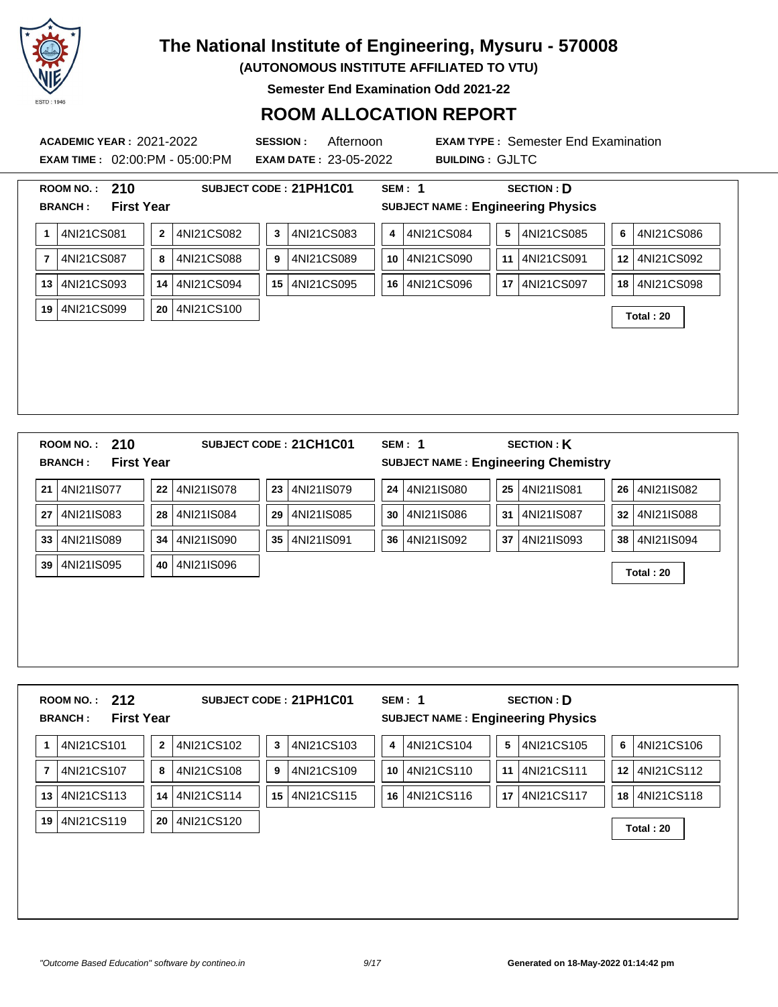

**(AUTONOMOUS INSTITUTE AFFILIATED TO VTU)**

**Semester End Examination Odd 2021-22**

### **ROOM ALLOCATION REPORT**

**EXAM TIME :** 02:00:PM - 05:00:PM **EXAM DATE :** 23-05-2022 **BUILDING :** GJLTC

**ACADEMIC YEAR :** 2021-2022 **SESSION :** Afternoon **EXAM TYPE :** Semester End Examination

|                | 210<br><b>ROOM NO.:</b>             |              |            |    | SUBJECT CODE: 21PH1C01 |    | <b>SEM: 1</b>                              |                 | <b>SECTION: D</b> |                  |            |
|----------------|-------------------------------------|--------------|------------|----|------------------------|----|--------------------------------------------|-----------------|-------------------|------------------|------------|
|                | <b>First Year</b><br><b>BRANCH:</b> |              |            |    |                        |    | <b>SUBJECT NAME: Engineering Physics</b>   |                 |                   |                  |            |
| $\mathbf 1$    | 4NI21CS081                          | $\mathbf{2}$ | 4NI21CS082 | 3  | 4NI21CS083             | 4  | 4NI21CS084                                 | 5               | 4NI21CS085        | 6                | 4NI21CS086 |
| $\overline{7}$ | 4NI21CS087                          | 8            | 4NI21CS088 | 9  | 4NI21CS089             | 10 | 4NI21CS090                                 | 11              | 4NI21CS091        | 12 <sup>12</sup> | 4NI21CS092 |
| 13             | 4NI21CS093                          | 14           | 4NI21CS094 | 15 | 4NI21CS095             | 16 | 4NI21CS096                                 | 17              | 4NI21CS097        | 18               | 4NI21CS098 |
| 19             | 4NI21CS099                          | 20           | 4NI21CS100 |    |                        |    |                                            |                 |                   |                  | Total: 20  |
|                |                                     |              |            |    |                        |    |                                            |                 |                   |                  |            |
|                |                                     |              |            |    |                        |    |                                            |                 |                   |                  |            |
|                |                                     |              |            |    |                        |    |                                            |                 |                   |                  |            |
|                |                                     |              |            |    |                        |    |                                            |                 |                   |                  |            |
|                |                                     |              |            |    |                        |    |                                            |                 |                   |                  |            |
|                |                                     |              |            |    |                        |    |                                            |                 |                   |                  |            |
|                |                                     |              |            |    |                        |    |                                            |                 |                   |                  |            |
|                | 210<br>ROOM NO.:                    |              |            |    | SUBJECT CODE: 21CH1C01 |    | <b>SEM: 1</b>                              |                 | <b>SECTION: K</b> |                  |            |
|                | <b>First Year</b><br><b>BRANCH:</b> |              |            |    |                        |    | <b>SUBJECT NAME: Engineering Chemistry</b> |                 |                   |                  |            |
| 21             | 4NI21IS077                          | 22           | 4NI21IS078 | 23 | 4NI21IS079             | 24 | 4NI21IS080                                 | 25 <sub>2</sub> | 4NI21IS081        | 26               | 4NI21IS082 |
| 27             | 4NI21IS083                          | 28           | 4NI21IS084 | 29 | 4NI21IS085             | 30 | 4NI21IS086                                 | 31              | 4NI21IS087        | 32 <sub>2</sub>  | 4NI21IS088 |

**<sup>39</sup>** 4NI21IS095 **<sup>40</sup>** 4NI21IS096 **Total : 20**

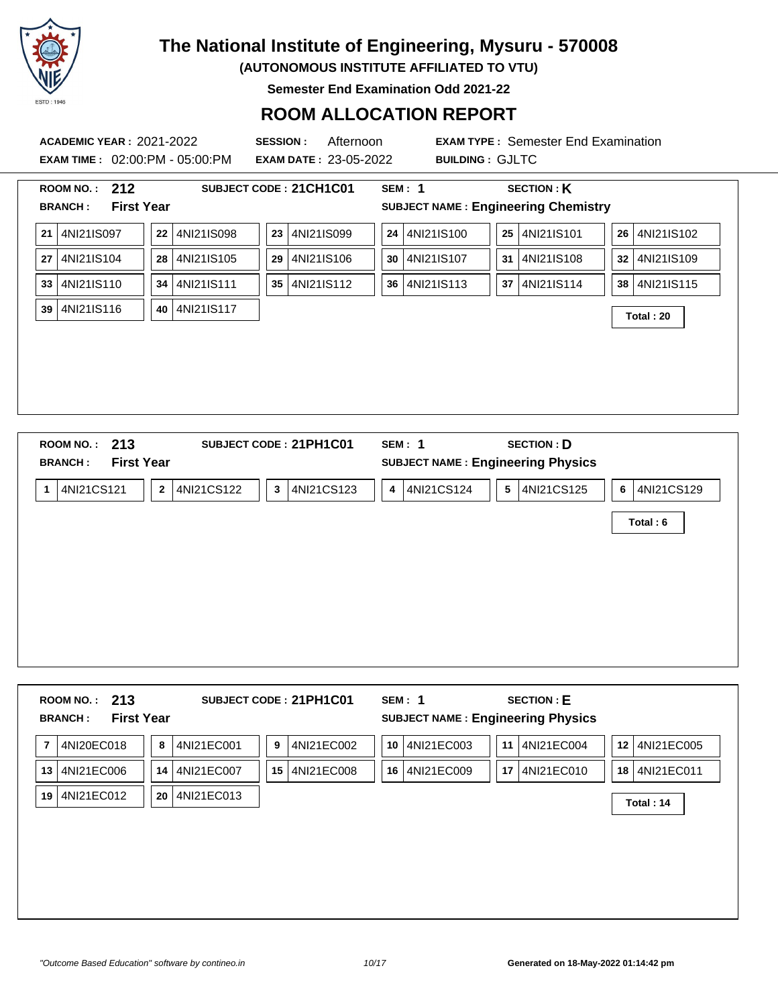

**(AUTONOMOUS INSTITUTE AFFILIATED TO VTU)**

**Semester End Examination Odd 2021-22**

### **ROOM ALLOCATION REPORT**

**ACADEMIC YEAR :** 2021-2022 **SESSION :** Afternoon **EXAM TYPE :** Semester End Examination **EXAM TIME :** 02:00:PM - 05:00:PM **EXAM DATE :** 23-05-2022 **BUILDING :** GJLTC **ROOM NO. : 212 SUBJECT CODE : 21CH1C01 SEM : 1 SECTION : K BRANCH : First Year SUBJECT NAME : Engineering Chemistry 21** 4NI21IS097 **22** 4NI21IS098 **23** 4NI21IS099 **24** 4NI21IS100 **25** 4NI21IS101 **26** 4NI21IS102 **27** 4NI21IS104 **28** 4NI21IS105 **29** 4NI21IS106 **30** 4NI21IS107 **31** 4NI21IS108 **32** 4NI21IS109 **33** 4NI21IS110 **34** 4NI21IS111 **35** 4NI21IS112 **36** 4NI21IS113 **37** 4NI21IS114 **38** 4NI21IS115 **<sup>39</sup>** 4NI21IS116 **<sup>40</sup>** 4NI21IS117 **Total : 20 ROOM NO. : 213 SUBJECT CODE : 21PH1C01 SEM : 1 SECTION : D**

| RUUM NU.: <b>ZIJ</b><br><b>First Year</b><br><b>BRANCH:</b> | SUBJECT CODE: ZIPHICUT        | <b>SEM:</b> I<br><b>SECTION: D</b><br><b>SUBJECT NAME: Engineering Physics</b> |              |
|-------------------------------------------------------------|-------------------------------|--------------------------------------------------------------------------------|--------------|
| 4NI21CS121<br>$\mathbf{2}$<br>1                             | 4NI21CS122<br>4NI21CS123<br>3 | 4NI21CS124<br>4NI21CS125<br>5<br>4                                             | 6 4NI21CS129 |
|                                                             |                               |                                                                                | Total: 6     |
|                                                             |                               |                                                                                |              |
|                                                             |                               |                                                                                |              |
|                                                             |                               |                                                                                |              |
|                                                             |                               |                                                                                |              |
|                                                             |                               |                                                                                |              |

| -213<br><b>ROOM NO.:</b><br><b>First Year</b><br><b>BRANCH:</b> |                  | SUBJECT CODE: 21PH1C01 | SEM: 1           | <b>SECTION: E</b><br><b>SUBJECT NAME: Engineering Physics</b> |                               |
|-----------------------------------------------------------------|------------------|------------------------|------------------|---------------------------------------------------------------|-------------------------------|
| 4NI20EC018<br>$\overline{7}$                                    | 4NI21EC001<br>8  | 4NI21EC002<br>9        | 4NI21EC003<br>10 | 4NI21EC004<br>11                                              | 4NI21EC005<br>12 <sup>1</sup> |
| 13<br>4NI21EC006                                                | 4NI21EC007<br>14 | 15<br>4NI21EC008       | 4NI21EC009<br>16 | 17<br>4NI21EC010                                              | 18 4NI21EC011                 |
| 4NI21EC012<br>19                                                | 20<br>4NI21EC013 |                        |                  |                                                               | Total: 14                     |
|                                                                 |                  |                        |                  |                                                               |                               |
|                                                                 |                  |                        |                  |                                                               |                               |
|                                                                 |                  |                        |                  |                                                               |                               |
|                                                                 |                  |                        |                  |                                                               |                               |
|                                                                 |                  |                        |                  |                                                               |                               |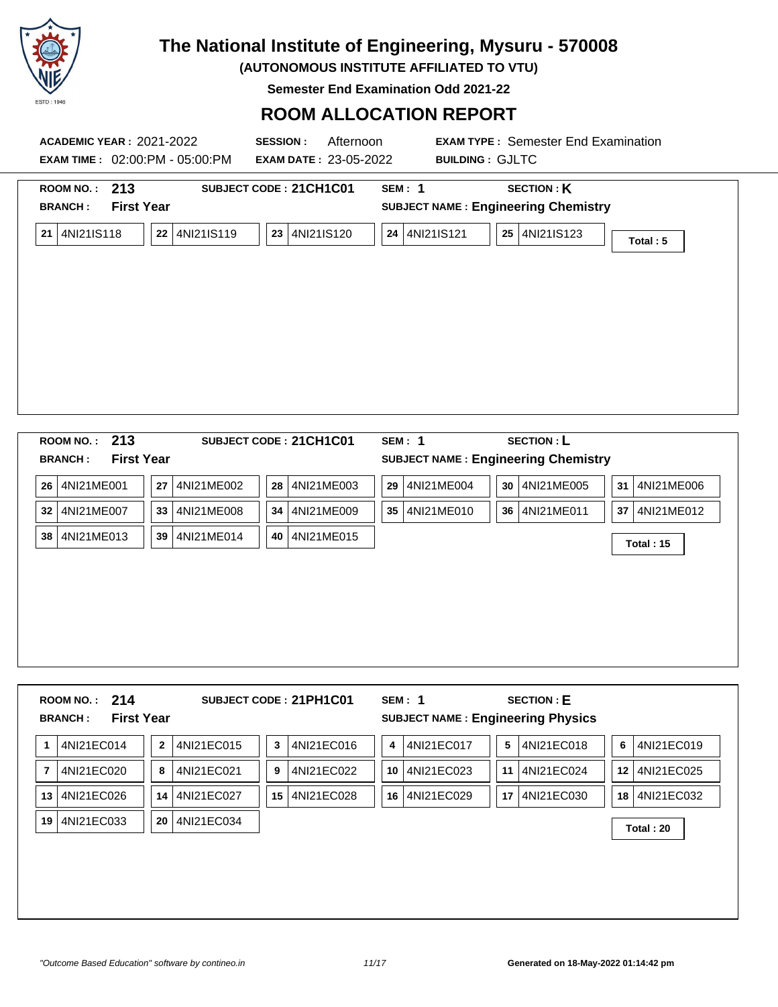

**(AUTONOMOUS INSTITUTE AFFILIATED TO VTU)**

**Semester End Examination Odd 2021-22**

## **ROOM ALLOCATION REPORT**

| <b>ACADEMIC YEAR : 2021-2022</b><br><b>EXAM TIME: 02:00:PM - 05:00:PM</b> | <b>SESSION:</b><br>Afternoon<br><b>EXAM DATE: 23-05-2022</b>                                                                                                              | <b>EXAM TYPE: Semester End Examination</b><br><b>BUILDING: GJLTC</b> |  |  |
|---------------------------------------------------------------------------|---------------------------------------------------------------------------------------------------------------------------------------------------------------------------|----------------------------------------------------------------------|--|--|
| 213<br><b>ROOM NO.:</b><br><b>First Year</b><br><b>BRANCH:</b>            | <b>SECTION: K</b><br>SUBJECT CODE: 21CH1C01<br>SEM: 1<br><b>SUBJECT NAME: Engineering Chemistry</b><br>4NI21IS120<br>4NI21IS121<br>25 4NI21IS123<br>23<br>24 <br>Total: 5 |                                                                      |  |  |
| 4NI21IS119<br>4NI21IS118<br>21<br>22                                      |                                                                                                                                                                           |                                                                      |  |  |
|                                                                           |                                                                                                                                                                           |                                                                      |  |  |
|                                                                           |                                                                                                                                                                           |                                                                      |  |  |
|                                                                           |                                                                                                                                                                           |                                                                      |  |  |
|                                                                           |                                                                                                                                                                           |                                                                      |  |  |
| ROOM NO.: 213                                                             | SUBJECT CODE: 21CH1C01                                                                                                                                                    | <b>SECTION: L</b><br>SEM: 1                                          |  |  |

| <b>First Year</b><br><b>BRANCH:</b> |                  |                   | <b>SUBJECT NAME: Engineering Chemistry</b> |                  |  |  |  |  |
|-------------------------------------|------------------|-------------------|--------------------------------------------|------------------|--|--|--|--|
| 26<br>4NI21ME001                    | 27<br>4NI21ME002 | 28<br>4NI21ME003  | 29<br>4NI21ME004<br>30<br>4NI21ME005       | 31<br>4NI21ME006 |  |  |  |  |
| 32<br>4NI21ME007                    | 33<br>4NI21ME008 | 34<br>14NI21ME009 | 35<br>36<br>  4NI21ME010<br>4NI21ME011     | 37<br>4NI21ME012 |  |  |  |  |
| 38<br>4NI21ME013                    | 39<br>4NI21ME014 | 40<br>14NI21ME015 |                                            | <b>Total: 15</b> |  |  |  |  |
|                                     |                  |                   |                                            |                  |  |  |  |  |
|                                     |                  |                   |                                            |                  |  |  |  |  |
|                                     |                  |                   |                                            |                  |  |  |  |  |
|                                     |                  |                   |                                            |                  |  |  |  |  |
|                                     |                  |                   |                                            |                  |  |  |  |  |

| 3<br>4NI21EC014<br>$\mathbf{2}$<br>4NI21EC015<br>4NI21EC016<br>5<br>4NI21EC017<br>4NI21EC018<br>4<br>6<br>4NI21EC020<br>4NI21EC021<br>4NI21EC022<br>4NI21EC023<br>4NI21EC024<br>$\overline{7}$<br>8<br>9<br>10<br>11<br>12<br>4NI21EC026<br>4NI21EC027<br>15<br>4NI21EC028<br>4NI21EC029<br>14<br>16<br>17<br>4NI21EC030<br>18<br>13 | 4NI21EC019<br>4NI21EC025<br>4NI21EC032<br>4NI21EC033<br>20<br>4NI21EC034<br>19<br>Total: 20 | ROOM NO.: $214$<br><b>First Year</b><br><b>BRANCH:</b> | SUBJECT CODE: 21PH1C01 | SEM: 1 | <b>SECTION: E</b><br><b>SUBJECT NAME: Engineering Physics</b> |  |
|--------------------------------------------------------------------------------------------------------------------------------------------------------------------------------------------------------------------------------------------------------------------------------------------------------------------------------------|---------------------------------------------------------------------------------------------|--------------------------------------------------------|------------------------|--------|---------------------------------------------------------------|--|
|                                                                                                                                                                                                                                                                                                                                      |                                                                                             |                                                        |                        |        |                                                               |  |
|                                                                                                                                                                                                                                                                                                                                      |                                                                                             |                                                        |                        |        |                                                               |  |
|                                                                                                                                                                                                                                                                                                                                      |                                                                                             |                                                        |                        |        |                                                               |  |
|                                                                                                                                                                                                                                                                                                                                      |                                                                                             |                                                        |                        |        |                                                               |  |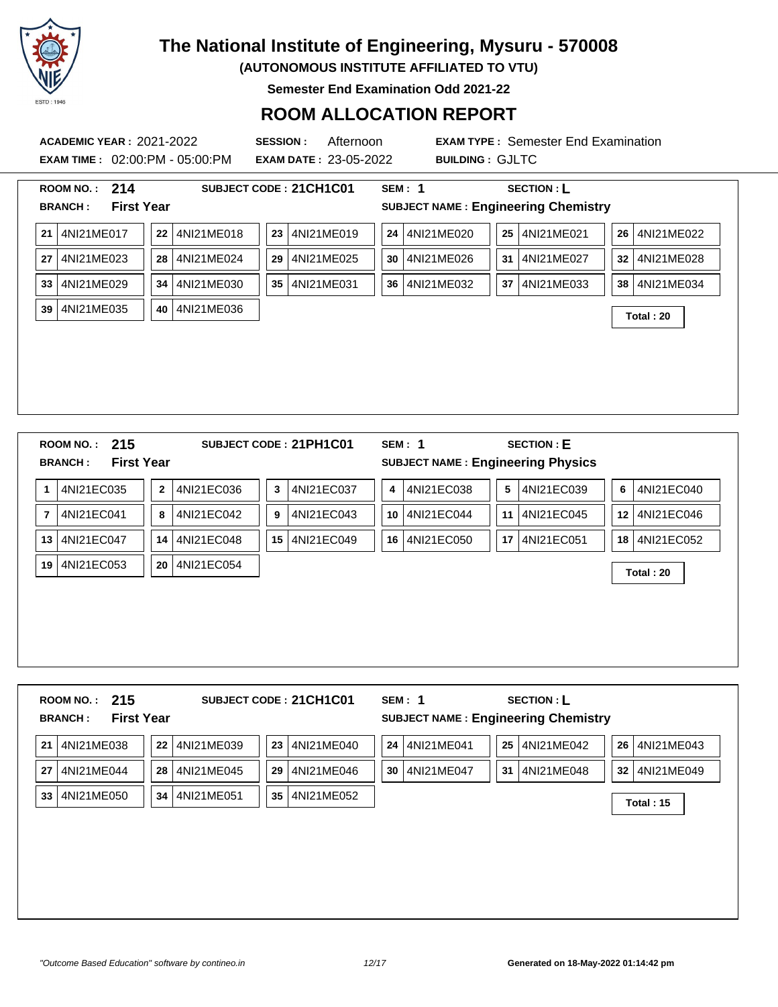

**(AUTONOMOUS INSTITUTE AFFILIATED TO VTU)**

**Semester End Examination Odd 2021-22**

### **ROOM ALLOCATION REPORT**

**ACADEMIC YEAR :** 2021-2022 **SESSION :** Afternoon **EXAM TYPE :** Semester End Examination **EXAM TIME :** 02:00:PM - 05:00:PM **EXAM DATE :** 23-05-2022 **BUILDING :** GJLTC **ROOM NO. : 214 SUBJECT CODE : 21CH1C01 SEM : 1 SECTION : L BRANCH : First Year SUBJECT NAME : Engineering Chemistry 21** 4NI21ME017 **22** 4NI21ME018 **23** 4NI21ME019 **24** 4NI21ME020 **25** 4NI21ME021 **26** 4NI21ME022 **27** 4NI21ME023 **28** 4NI21ME024 **29** 4NI21ME025 **30** 4NI21ME026 **31** 4NI21ME027 **32** 4NI21ME028 **33** 4NI21ME029 **34** 4NI21ME030 **35** 4NI21ME031 **36** 4NI21ME032 **37** 4NI21ME033 **38** 4NI21ME034 **<sup>39</sup>** 4NI21ME035 **<sup>40</sup>** 4NI21ME036 **Total : 20 ROOM NO. : 215 SUBJECT CODE : 21PH1C01 SEM : 1 SECTION : E BRANCH : First Year SUBJECT NAME : Engineering Physics**

|                | 4NI21EC035 | $\mathbf{2}$ | 4NI21EC036 | 3  | 4NI21EC037 | 4    | 4NI21EC038 | 5  | 4NI21EC039    | 6 | 4NI21EC040    |
|----------------|------------|--------------|------------|----|------------|------|------------|----|---------------|---|---------------|
| $\overline{7}$ | 4NI21EC041 | 8            | 4NI21EC042 | 9  | 4NI21EC043 | 10   | 4NI21EC044 |    | 11 4NI21EC045 |   | 12 4NI21EC046 |
| 13             | 4NI21EC047 | 14           | 4NI21EC048 | 15 | 4NI21EC049 | 16 l | 4NI21EC050 | 17 | 4NI21EC051    |   | 18 4NI21EC052 |
| 19             | 4NI21EC053 | 20           | 4NI21EC054 |    |            |      |            |    |               |   | Total: 20     |
|                |            |              |            |    |            |      |            |    |               |   |               |
|                |            |              |            |    |            |      |            |    |               |   |               |
|                |            |              |            |    |            |      |            |    |               |   |               |
|                |            |              |            |    |            |      |            |    |               |   |               |

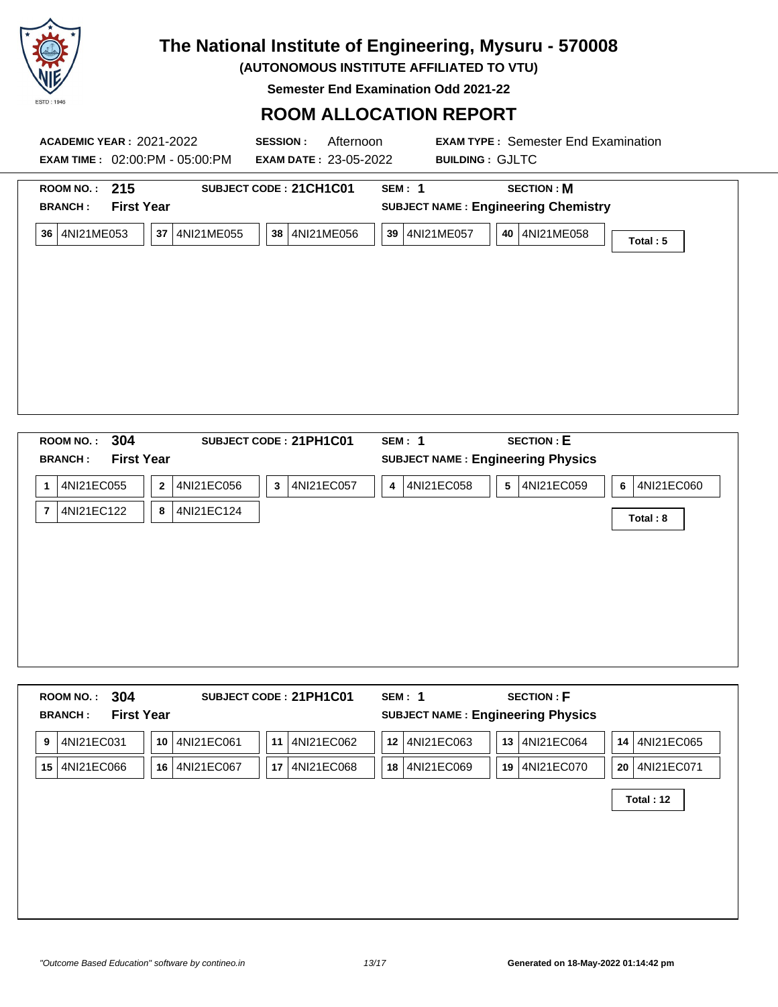

**(AUTONOMOUS INSTITUTE AFFILIATED TO VTU)**

**Semester End Examination Odd 2021-22**

### **ROOM ALLOCATION REPORT**

| <b>ACADEMIC YEAR : 2021-2022</b><br><b>EXAM TIME: 02:00:PM - 05:00:PM</b> | Afternoon<br><b>SESSION:</b><br><b>EXAM DATE: 23-05-2022</b> | <b>EXAM TYPE: Semester End Examination</b><br><b>BUILDING: GJLTC</b>      |          |
|---------------------------------------------------------------------------|--------------------------------------------------------------|---------------------------------------------------------------------------|----------|
| ROOM NO.: $215$<br><b>First Year</b><br><b>BRANCH:</b>                    | SUBJECT CODE: 21CH1C01                                       | <b>SECTION: M</b><br>SEM: 1<br><b>SUBJECT NAME: Engineering Chemistry</b> |          |
| 4NI21ME053<br>37<br>4NI21ME055<br>36                                      | 38<br>4NI21ME056                                             | 39   4NI21ME057<br>40   4NI21ME058                                        | Total: 5 |
|                                                                           |                                                              |                                                                           |          |
|                                                                           |                                                              |                                                                           |          |
|                                                                           |                                                              |                                                                           |          |
|                                                                           |                                                              |                                                                           |          |
| 3UV<br><b>ROOM NO.</b>                                                    | SUR JECT CODE - 21 PH1 CO1                                   | <b>SECTION · E</b><br>$SFM-1$                                             |          |

|                | 304<br><b>ROOM NO.:</b><br><b>First Year</b><br><b>BRANCH:</b> |                              | SUBJECT CODE: 21PH1C01 | SEM: 1          | <b>SECTION: E</b><br><b>SUBJECT NAME: Engineering Physics</b> |                 |
|----------------|----------------------------------------------------------------|------------------------------|------------------------|-----------------|---------------------------------------------------------------|-----------------|
| 1              | 4NI21EC055                                                     | 4NI21EC056<br>$\overline{2}$ | 4NI21EC057<br>3        | 4NI21EC058<br>4 | 4NI21EC059<br>5                                               | 4NI21EC060<br>6 |
| $\overline{7}$ | 4NI21EC122                                                     | 4NI21EC124<br>8              |                        |                 |                                                               | Total: 8        |
|                |                                                                |                              |                        |                 |                                                               |                 |
|                |                                                                |                              |                        |                 |                                                               |                 |
|                |                                                                |                              |                        |                 |                                                               |                 |
|                |                                                                |                              |                        |                 |                                                               |                 |
|                |                                                                |                              |                        |                 |                                                               |                 |

|    | 304<br><b>ROOM NO.:</b><br><b>First Year</b><br><b>BRANCH:</b> |                  | SUBJECT CODE: 21PH1C01 | SEM: 1           | <b>SECTION: F</b><br><b>SUBJECT NAME: Engineering Physics</b> |                  |
|----|----------------------------------------------------------------|------------------|------------------------|------------------|---------------------------------------------------------------|------------------|
| 9  | 4NI21EC031                                                     | 4NI21EC061<br>10 | 4NI21EC062<br>11       | 4NI21EC063<br>12 | 13 4NI21EC064                                                 | 14 4NI21EC065    |
| 15 | 4NI21EC066                                                     | 4NI21EC067<br>16 | 4NI21EC068<br>17       | 4NI21EC069<br>18 | 4NI21EC070<br>19                                              | 20<br>4NI21EC071 |
|    |                                                                |                  |                        |                  |                                                               | Total: 12        |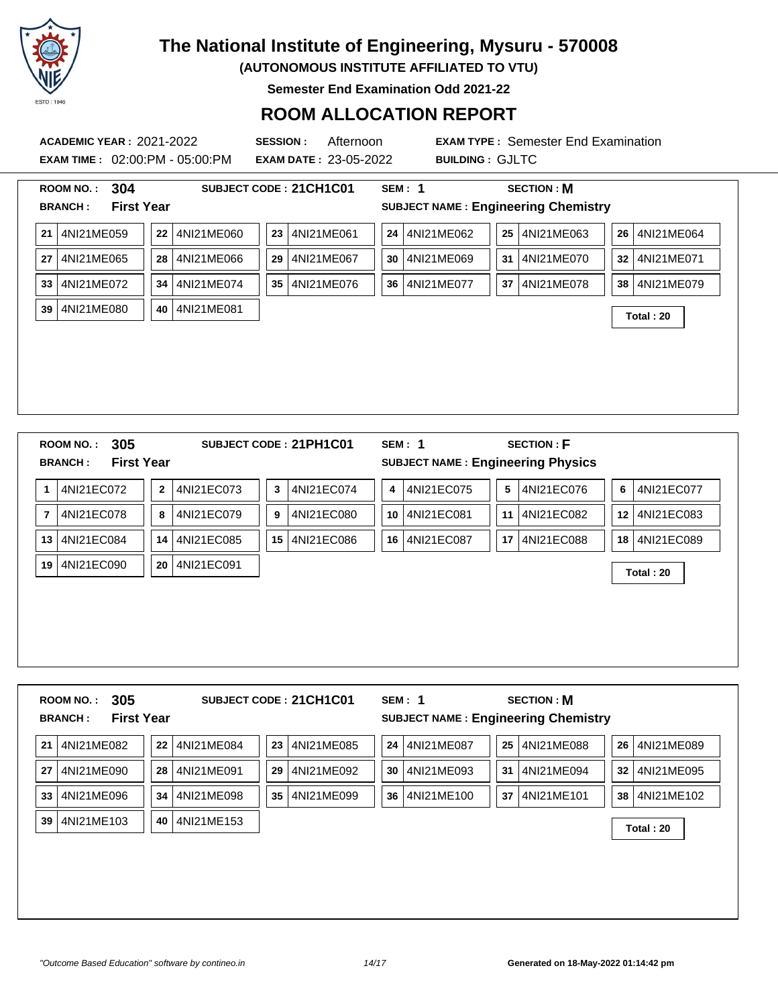

**(AUTONOMOUS INSTITUTE AFFILIATED TO VTU)**

**Semester End Examination Odd 2021-22**

#### **ROOM ALLOCATION REPORT**

**ACADEMIC YEAR :** 2021-2022 **SESSION :** Afternoon **EXAM TYPE :** Semester End Examination **EXAM TIME :** 02:00:PM - 05:00:PM **EXAM DATE :** 23-05-2022 **BUILDING :** GJLTC **ROOM NO. : 304 SUBJECT CODE : 21CH1C01 SEM : 1 SECTION : M BRANCH : First Year SUBJECT NAME : Engineering Chemistry 21** 4NI21ME059 **22** 4NI21ME060 **23** 4NI21ME061 **24** 4NI21ME062 **25** 4NI21ME063 **26** 4NI21ME064 **27** 4NI21ME065 **28** 4NI21ME066 **29** 4NI21ME067 **30** 4NI21ME069 **31** 4NI21ME070 **32** 4NI21ME071 **33** 4NI21ME072 **34** 4NI21ME074 **35** 4NI21ME076 **36** 4NI21ME077 **37** 4NI21ME078 **38** 4NI21ME079

**<sup>39</sup>** 4NI21ME080 **<sup>40</sup>** 4NI21ME081 **Total : 20**

|                | 305<br><b>ROOM NO.:</b>             |                |            |                 | SUBJECT CODE: 21PH1C01 |    | SEM: 1                                   |                 | <b>SECTION: F</b> |                 |            |
|----------------|-------------------------------------|----------------|------------|-----------------|------------------------|----|------------------------------------------|-----------------|-------------------|-----------------|------------|
|                | <b>First Year</b><br><b>BRANCH:</b> |                |            |                 |                        |    | <b>SUBJECT NAME: Engineering Physics</b> |                 |                   |                 |            |
| 1              | 4NI21EC072                          | $\overline{2}$ | 4NI21EC073 | 3               | 4NI21EC074             | 4  | 4NI21EC075                               | 5 <sub>1</sub>  | 4NI21EC076        | 6               | 4NI21EC077 |
| $\overline{7}$ | 4NI21EC078                          | 8              | 4NI21EC079 | 9               | 4NI21EC080             | 10 | 4NI21EC081                               | 11              | 4NI21EC082        | 12 <sub>2</sub> | 4NI21EC083 |
| 13             | 4NI21EC084                          | 14             | 4NI21EC085 | 15 <sup>1</sup> | 4NI21EC086             | 16 | 4NI21EC087                               | 17 <sup>1</sup> | 4NI21EC088        | 18              | 4NI21EC089 |
| 19             | 4NI21EC090                          | 20             | 4NI21EC091 |                 |                        |    |                                          |                 |                   |                 | Total: 20  |
|                |                                     |                |            |                 |                        |    |                                          |                 |                   |                 |            |
|                |                                     |                |            |                 |                        |    |                                          |                 |                   |                 |            |
|                |                                     |                |            |                 |                        |    |                                          |                 |                   |                 |            |
|                |                                     |                |            |                 |                        |    |                                          |                 |                   |                 |            |

| 305<br><b>ROOM NO.:</b>             |                  | SUBJECT CODE: 21CH1C01 | SEM: 1           | <b>SECTION: M</b>                          |                               |
|-------------------------------------|------------------|------------------------|------------------|--------------------------------------------|-------------------------------|
| <b>First Year</b><br><b>BRANCH:</b> |                  |                        |                  | <b>SUBJECT NAME: Engineering Chemistry</b> |                               |
| 4NI21ME082<br>21                    | 22<br>4NI21ME084 | 23<br>4NI21ME085       | 24<br>4NI21ME087 | 25 <sub>1</sub><br>4NI21ME088              | 4NI21ME089<br>26 <sup>1</sup> |
| 4NI21ME090<br>27                    | 28<br>4NI21ME091 | 29<br>4NI21ME092       | 30<br>4NI21ME093 | 31<br>4NI21ME094                           | 4NI21ME095<br>32 <sub>2</sub> |
| 4NI21ME096<br>33                    | 4NI21ME098<br>34 | 35<br>4NI21ME099       | 36<br>4NI21ME100 | 37<br>4NI21ME101                           | 4NI21ME102<br>38 <sup>1</sup> |
| 4NI21ME103<br>39                    | 4NI21ME153<br>40 |                        |                  |                                            | Total: 20                     |
|                                     |                  |                        |                  |                                            |                               |
|                                     |                  |                        |                  |                                            |                               |
|                                     |                  |                        |                  |                                            |                               |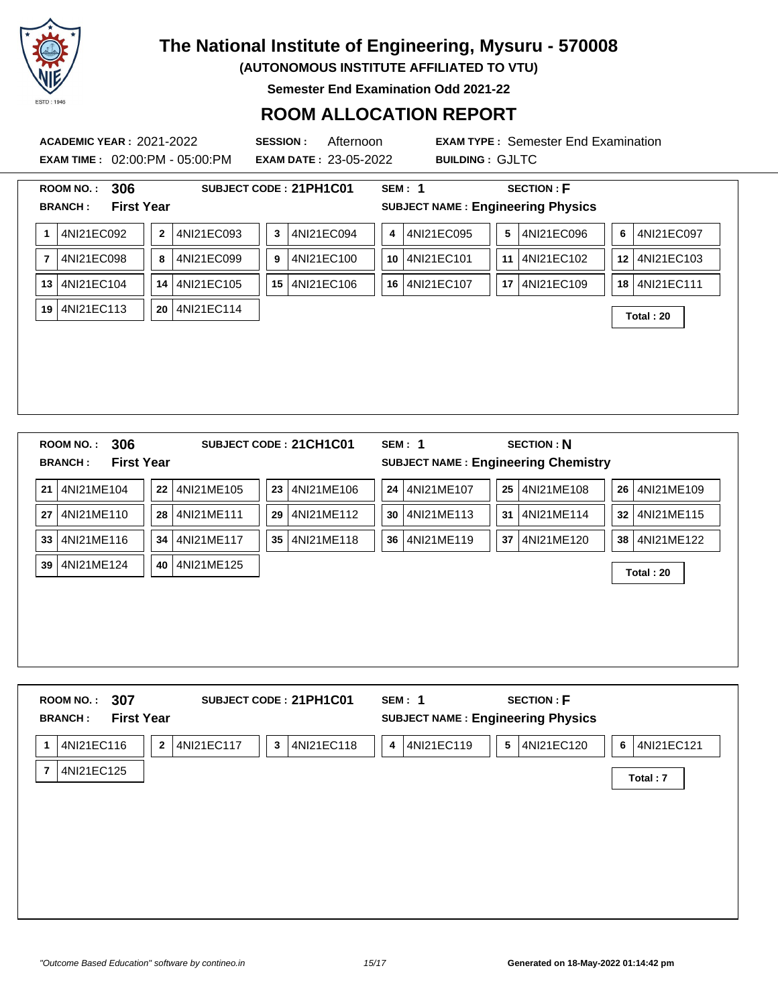

**(AUTONOMOUS INSTITUTE AFFILIATED TO VTU)**

**Semester End Examination Odd 2021-22**

#### **ROOM ALLOCATION REPORT**

**EXAM TIME :** 02:00:PM - 05:00:PM **EXAM DATE :** 23-05-2022 **BUILDING :** GJLTC

|                | 306<br><b>ROOM NO.:</b>             |              |            | SUBJECT CODE: 21PH1C01       |    | <b>SEM: 1</b>                              |    | <b>SECTION: F</b> |    |            |
|----------------|-------------------------------------|--------------|------------|------------------------------|----|--------------------------------------------|----|-------------------|----|------------|
|                | <b>First Year</b><br><b>BRANCH:</b> |              |            |                              |    | <b>SUBJECT NAME: Engineering Physics</b>   |    |                   |    |            |
| 1              | 4NI21EC092                          | $\mathbf{2}$ | 4NI21EC093 | 4NI21EC094<br>3 <sup>1</sup> | 4  | 4NI21EC095                                 | 5  | 4NI21EC096        | 6  | 4NI21EC097 |
| $\overline{7}$ | 4NI21EC098                          | 8            | 4NI21EC099 | 4NI21EC100<br>9              | 10 | 4NI21EC101                                 | 11 | 4NI21EC102        | 12 | 4NI21EC103 |
| 13             | 4NI21EC104                          | 14           | 4NI21EC105 | 4NI21EC106<br>15             | 16 | 4NI21EC107                                 | 17 | 4NI21EC109        | 18 | 4NI21EC111 |
| 19             | 4NI21EC113                          | 20           | 4NI21EC114 |                              |    |                                            |    |                   |    | Total: 20  |
|                |                                     |              |            |                              |    |                                            |    |                   |    |            |
|                |                                     |              |            |                              |    |                                            |    |                   |    |            |
|                |                                     |              |            |                              |    |                                            |    |                   |    |            |
|                |                                     |              |            |                              |    |                                            |    |                   |    |            |
|                |                                     |              |            |                              |    |                                            |    |                   |    |            |
|                |                                     |              |            |                              |    |                                            |    |                   |    |            |
|                |                                     |              |            |                              |    |                                            |    |                   |    |            |
|                | 306<br><b>ROOM NO.:</b>             |              |            | SUBJECT CODE: 21CH1C01       |    | <b>SEM: 1</b>                              |    | <b>SECTION: N</b> |    |            |
|                | <b>First Year</b><br><b>BRANCH:</b> |              |            |                              |    | <b>SUBJECT NAME: Engineering Chemistry</b> |    |                   |    |            |
| 21             | 4NI21ME104                          | 22           | 4NI21ME105 | 4NI21ME106<br>23             | 24 | 4NI21ME107                                 | 25 | 4NI21ME108        | 26 | 4NI21ME109 |
| 27             | 4NI21ME110                          | 28           | 4NI21ME111 | 4NI21ME112<br>29             | 30 | 4NI21ME113                                 | 31 | 4NI21ME114        | 32 | 4NI21ME115 |
| 33             | 4NI21ME116                          | 34           | 4NI21ME117 | 4NI21ME118<br>35             | 36 | 4NI21ME119                                 | 37 | 4NI21ME120        | 38 | 4NI21ME122 |

|                | 307<br><b>ROOM NO.:</b><br><b>BRANCH:</b> | <b>First Year</b> |            | SUBJECT CODE: 21PH1C01     | SEM: 1<br><b>SUBJECT NAME: Engineering Physics</b> | <b>SECTION: F</b> |                 |
|----------------|-------------------------------------------|-------------------|------------|----------------------------|----------------------------------------------------|-------------------|-----------------|
| $\mathbf 1$    | 4NI21EC116                                | $\mathbf{2}$      | 4NI21EC117 | $\mathbf{3}$<br>4NI21EC118 | 4NI21EC119<br>4                                    | 5<br>4NI21EC120   | 4NI21EC121<br>6 |
| $\overline{7}$ | 4NI21EC125                                |                   |            |                            |                                                    |                   | Total: 7        |
|                |                                           |                   |            |                            |                                                    |                   |                 |
|                |                                           |                   |            |                            |                                                    |                   |                 |
|                |                                           |                   |            |                            |                                                    |                   |                 |
|                |                                           |                   |            |                            |                                                    |                   |                 |
|                |                                           |                   |            |                            |                                                    |                   |                 |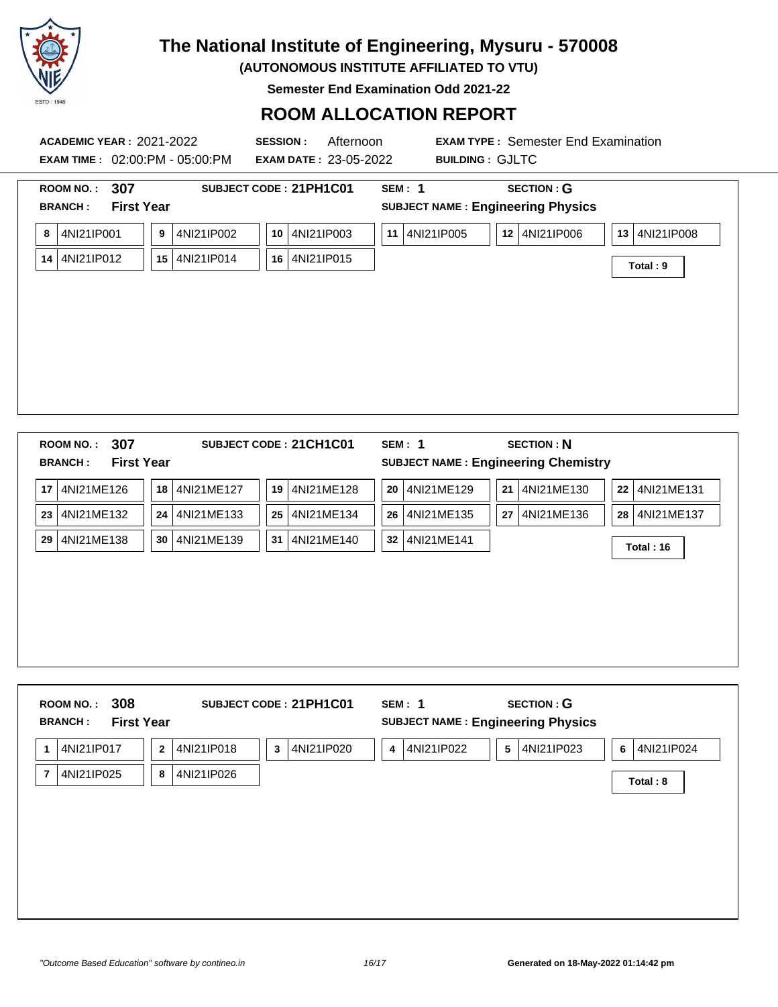

**(AUTONOMOUS INSTITUTE AFFILIATED TO VTU)**

**Semester End Examination Odd 2021-22**

### **ROOM ALLOCATION REPORT**

| 307<br><b>ROOM NO.:</b><br><b>BRANCH:</b> |                                                          | SUBJECT CODE: 21PH1C01         | <b>SEM: 1</b> | <b>SECTION: G</b>                                         |                           |
|-------------------------------------------|----------------------------------------------------------|--------------------------------|---------------|-----------------------------------------------------------|---------------------------|
| 4NI21IP001<br>8<br>4NI21IP012<br>14       | <b>First Year</b><br>9<br>4NI21IP002<br>4NI21IP014<br>15 | 10 4NI21IP003<br>16 4NI21IP015 | 11 4NI21IP005 | <b>SUBJECT NAME: Engineering Physics</b><br>12 4NI21IP006 | 13 4NI21IP008<br>Total: 9 |
|                                           |                                                          |                                |               |                                                           |                           |

**23** 4NI21ME132 **24** 4NI21ME133 **25** 4NI21ME134 **26** 4NI21ME135 **27** 4NI21ME136 **28** 4NI21ME137

**<sup>29</sup>** 4NI21ME138 **<sup>30</sup>** 4NI21ME139 **<sup>31</sup>** 4NI21ME140 **<sup>32</sup>** 4NI21ME141 **Total : 16**

| 4NI21IP023<br>4NI21IP024<br>4NI21IP017<br>4NI21IP018<br>4NI21IP020<br>4NI21IP022<br>5<br>$\overline{2}$<br>3<br>4<br>6<br>$\mathbf 1$ |  |
|---------------------------------------------------------------------------------------------------------------------------------------|--|
|                                                                                                                                       |  |
| 4NI21IP025<br>4NI21IP026<br>8<br>$\overline{7}$<br>Total: 8                                                                           |  |